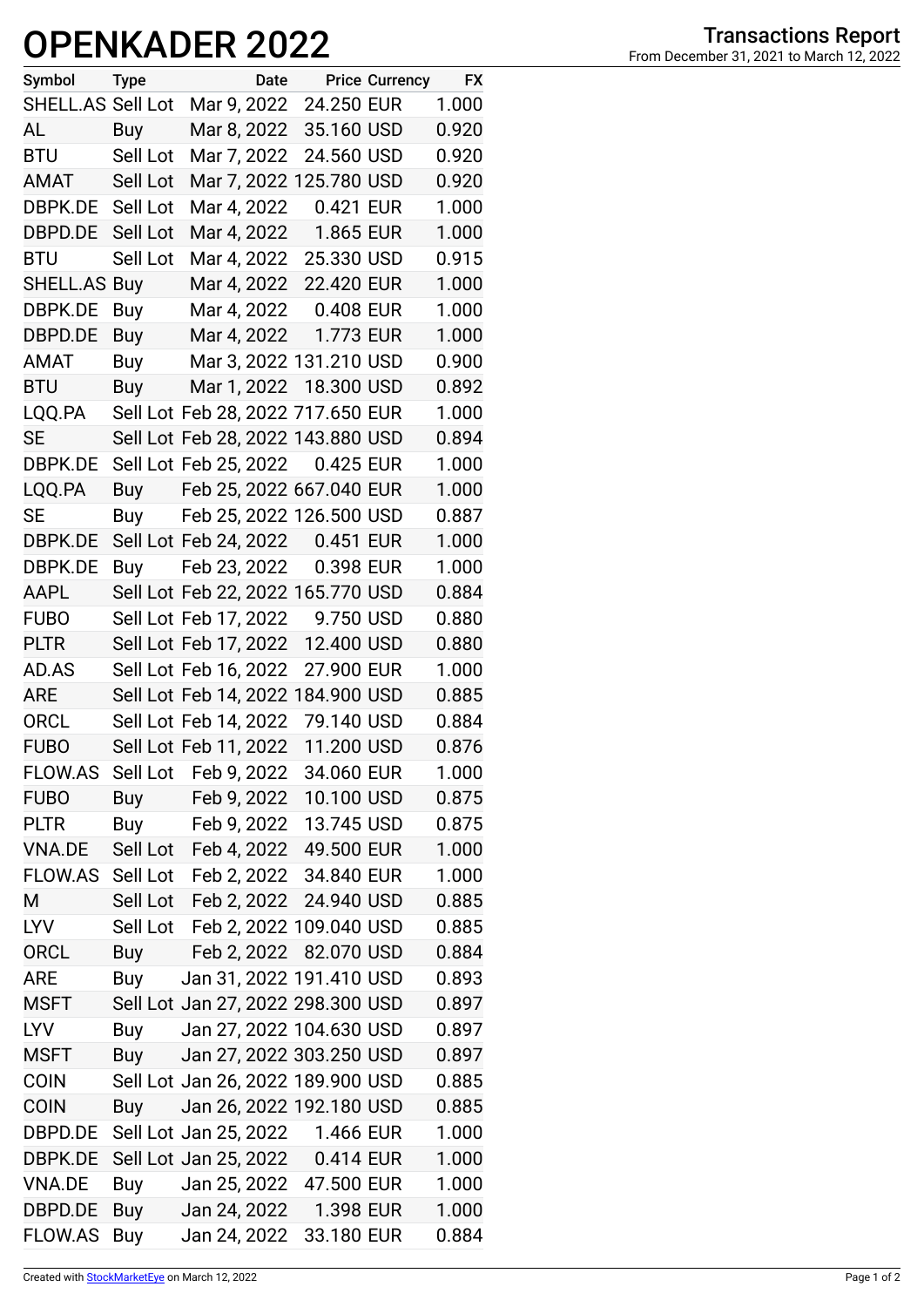## **OPENKADER 2022**

| Symbol            | <b>Type</b> | Date                              |            | <b>Price Currency</b> | <b>FX</b> |
|-------------------|-------------|-----------------------------------|------------|-----------------------|-----------|
| SHELL.AS Sell Lot |             | Mar 9, 2022                       | 24.250 EUR |                       | 1.000     |
| AL                | Buy         | Mar 8, 2022                       | 35.160 USD |                       | 0.920     |
| <b>BTU</b>        | Sell Lot    | Mar 7, 2022                       | 24.560 USD |                       | 0.920     |
| AMAT              | Sell Lot    | Mar 7, 2022 125.780 USD           |            |                       | 0.920     |
| DBPK.DE Sell Lot  |             | Mar 4, 2022                       | 0.421 EUR  |                       | 1.000     |
| DBPD.DE           | Sell Lot    | Mar 4, 2022                       | 1.865 EUR  |                       | 1.000     |
| <b>BTU</b>        | Sell Lot    | Mar 4, 2022                       | 25.330 USD |                       | 0.915     |
| SHELL.AS Buy      |             | Mar 4, 2022                       | 22.420 EUR |                       | 1.000     |
| DBPK.DE           | Buy         | Mar 4, 2022                       | 0.408 EUR  |                       | 1.000     |
| DBPD.DE           | Buy         | Mar 4, 2022                       | 1.773 EUR  |                       | 1.000     |
| AMAT              | Buy         | Mar 3, 2022 131.210 USD           |            |                       | 0.900     |
| <b>BTU</b>        | Buy         | Mar 1, 2022 18.300 USD            |            |                       | 0.892     |
| LQQ.PA            |             | Sell Lot Feb 28, 2022 717.650 EUR |            |                       | 1.000     |
| <b>SE</b>         |             | Sell Lot Feb 28, 2022 143.880 USD |            |                       | 0.894     |
| DBPK.DE           |             | Sell Lot Feb 25, 2022             | 0.425 EUR  |                       | 1.000     |
| LQQ.PA            | Buy         | Feb 25, 2022 667.040 EUR          |            |                       | 1.000     |
| SE                | Buy         | Feb 25, 2022 126.500 USD          |            |                       | 0.887     |
| DBPK.DE           |             | Sell Lot Feb 24, 2022 0.451 EUR   |            |                       | 1.000     |
| DBPK.DE           | Buy         | Feb 23, 2022                      | 0.398 EUR  |                       | 1.000     |
| AAPL              |             | Sell Lot Feb 22, 2022 165.770 USD |            |                       | 0.884     |
| <b>FUBO</b>       |             | Sell Lot Feb 17, 2022             | 9.750 USD  |                       | 0.880     |
| <b>PLTR</b>       |             | Sell Lot Feb 17, 2022 12.400 USD  |            |                       | 0.880     |
| AD.AS             |             | Sell Lot Feb 16, 2022             | 27.900 EUR |                       | 1.000     |
| <b>ARE</b>        |             | Sell Lot Feb 14, 2022 184.900 USD |            |                       | 0.885     |
| <b>ORCL</b>       |             | Sell Lot Feb 14, 2022             | 79.140 USD |                       | 0.884     |
| <b>FUBO</b>       |             | Sell Lot Feb 11, 2022             | 11.200 USD |                       | 0.876     |
| FLOW.AS           | Sell Lot    | Feb 9, 2022 34.060 EUR            |            |                       | 1.000     |
| <b>FUBO</b>       | Buy         | Feb 9, 2022 10.100 USD            |            |                       | 0.875     |
| <b>PLTR</b>       | Buy         | Feb 9, 2022 13.745 USD            |            |                       | 0.875     |
| <b>VNA.DE</b>     | Sell Lot    | Feb 4, 2022 49.500 EUR            |            |                       | 1.000     |
| FLOW.AS Sell Lot  |             | Feb 2, 2022 34.840 EUR            |            |                       | 1.000     |
| M                 | Sell Lot    | Feb 2, 2022 24.940 USD            |            |                       | 0.885     |
| <b>LYV</b>        | Sell Lot    | Feb 2, 2022 109.040 USD           |            |                       | 0.885     |
| <b>ORCL</b>       | Buy         | Feb 2, 2022 82.070 USD            |            |                       | 0.884     |
| <b>ARE</b>        | Buy         | Jan 31, 2022 191.410 USD          |            |                       | 0.893     |
| <b>MSFT</b>       |             | Sell Lot Jan 27, 2022 298.300 USD |            |                       | 0.897     |
| <b>LYV</b>        | Buy         | Jan 27, 2022 104.630 USD          |            |                       | 0.897     |
| MSFT              | Buy         | Jan 27, 2022 303.250 USD          |            |                       | 0.897     |
| <b>COIN</b>       |             | Sell Lot Jan 26, 2022 189.900 USD |            |                       | 0.885     |
| <b>COIN</b>       | <b>Buy</b>  | Jan 26, 2022 192.180 USD          |            |                       | 0.885     |
| DBPD.DE           |             | Sell Lot Jan 25, 2022 1.466 EUR   |            |                       | 1.000     |
| DBPK.DE           |             | Sell Lot Jan 25, 2022 0.414 EUR   |            |                       | 1.000     |
| VNA.DE            | Buy         | Jan 25, 2022 47.500 EUR           |            |                       | 1.000     |
| DBPD.DE           | Buy         | Jan 24, 2022                      | 1.398 EUR  |                       | 1.000     |
| FLOW.AS           | Buy         | Jan 24, 2022                      | 33.180 EUR |                       | 0.884     |